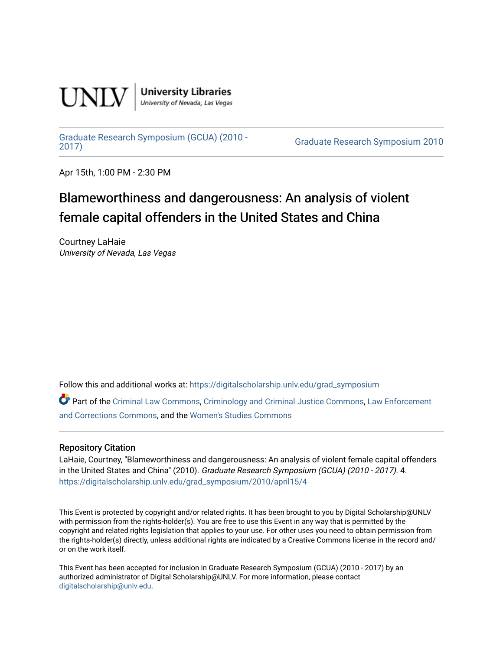

**University Libraries**<br>University of Nevada, Las Vegas

#### [Graduate Research Symposium \(GCUA\) \(2010 -](https://digitalscholarship.unlv.edu/grad_symposium)

[2017\)](https://digitalscholarship.unlv.edu/grad_symposium) [Graduate Research Symposium 2010](https://digitalscholarship.unlv.edu/grad_symposium/2010) 

Apr 15th, 1:00 PM - 2:30 PM

#### Blameworthiness and dangerousness: An analysis of violent female capital offenders in the United States and China

Courtney LaHaie University of Nevada, Las Vegas

Follow this and additional works at: [https://digitalscholarship.unlv.edu/grad\\_symposium](https://digitalscholarship.unlv.edu/grad_symposium?utm_source=digitalscholarship.unlv.edu%2Fgrad_symposium%2F2010%2Fapril15%2F4&utm_medium=PDF&utm_campaign=PDFCoverPages) 

Part of the [Criminal Law Commons,](http://network.bepress.com/hgg/discipline/912?utm_source=digitalscholarship.unlv.edu%2Fgrad_symposium%2F2010%2Fapril15%2F4&utm_medium=PDF&utm_campaign=PDFCoverPages) [Criminology and Criminal Justice Commons](http://network.bepress.com/hgg/discipline/367?utm_source=digitalscholarship.unlv.edu%2Fgrad_symposium%2F2010%2Fapril15%2F4&utm_medium=PDF&utm_campaign=PDFCoverPages), [Law Enforcement](http://network.bepress.com/hgg/discipline/854?utm_source=digitalscholarship.unlv.edu%2Fgrad_symposium%2F2010%2Fapril15%2F4&utm_medium=PDF&utm_campaign=PDFCoverPages) [and Corrections Commons](http://network.bepress.com/hgg/discipline/854?utm_source=digitalscholarship.unlv.edu%2Fgrad_symposium%2F2010%2Fapril15%2F4&utm_medium=PDF&utm_campaign=PDFCoverPages), and the [Women's Studies Commons](http://network.bepress.com/hgg/discipline/561?utm_source=digitalscholarship.unlv.edu%2Fgrad_symposium%2F2010%2Fapril15%2F4&utm_medium=PDF&utm_campaign=PDFCoverPages) 

#### Repository Citation

LaHaie, Courtney, "Blameworthiness and dangerousness: An analysis of violent female capital offenders in the United States and China" (2010). Graduate Research Symposium (GCUA) (2010 - 2017). 4. [https://digitalscholarship.unlv.edu/grad\\_symposium/2010/april15/4](https://digitalscholarship.unlv.edu/grad_symposium/2010/april15/4?utm_source=digitalscholarship.unlv.edu%2Fgrad_symposium%2F2010%2Fapril15%2F4&utm_medium=PDF&utm_campaign=PDFCoverPages) 

This Event is protected by copyright and/or related rights. It has been brought to you by Digital Scholarship@UNLV with permission from the rights-holder(s). You are free to use this Event in any way that is permitted by the copyright and related rights legislation that applies to your use. For other uses you need to obtain permission from the rights-holder(s) directly, unless additional rights are indicated by a Creative Commons license in the record and/ or on the work itself.

This Event has been accepted for inclusion in Graduate Research Symposium (GCUA) (2010 - 2017) by an authorized administrator of Digital Scholarship@UNLV. For more information, please contact [digitalscholarship@unlv.edu](mailto:digitalscholarship@unlv.edu).